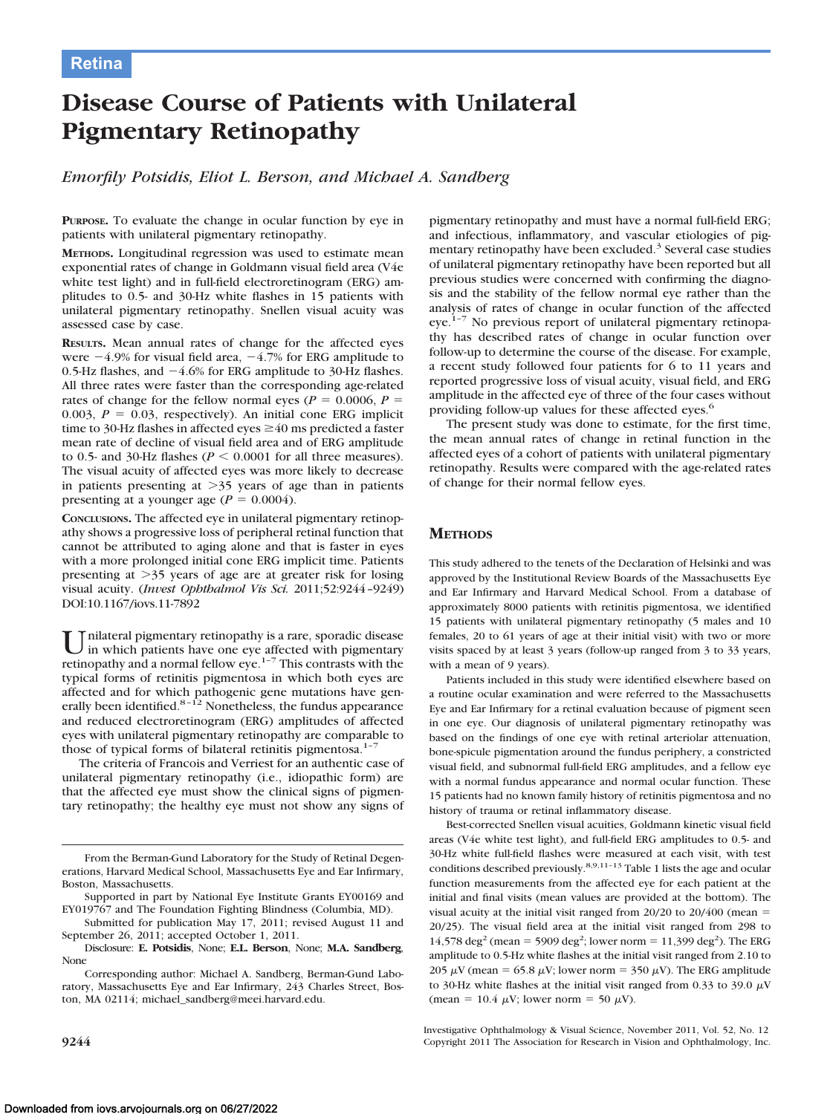# **Disease Course of Patients with Unilateral Pigmentary Retinopathy**

*Emorfily Potsidis, Eliot L. Berson, and Michael A. Sandberg*

**PURPOSE.** To evaluate the change in ocular function by eye in patients with unilateral pigmentary retinopathy.

**METHODS.** Longitudinal regression was used to estimate mean exponential rates of change in Goldmann visual field area (V4e white test light) and in full-field electroretinogram (ERG) amplitudes to 0.5- and 30-Hz white flashes in 15 patients with unilateral pigmentary retinopathy. Snellen visual acuity was assessed case by case.

**RESULTS.** Mean annual rates of change for the affected eyes were  $-4.9\%$  for visual field area,  $-4.7\%$  for ERG amplitude to 0.5-Hz flashes, and  $-4.6\%$  for ERG amplitude to 30-Hz flashes. All three rates were faster than the corresponding age-related rates of change for the fellow normal eyes ( $P = 0.0006$ ,  $P =$ 0.003,  $P = 0.03$ , respectively). An initial cone ERG implicit time to 30-Hz flashes in affected eyes  $\geq$  40 ms predicted a faster mean rate of decline of visual field area and of ERG amplitude to 0.5- and 30-Hz flashes ( $P \le 0.0001$  for all three measures). The visual acuity of affected eyes was more likely to decrease in patients presenting at  $>35$  years of age than in patients presenting at a younger age  $(P = 0.0004)$ .

**CONCLUSIONS.** The affected eye in unilateral pigmentary retinopathy shows a progressive loss of peripheral retinal function that cannot be attributed to aging alone and that is faster in eyes with a more prolonged initial cone ERG implicit time. Patients presenting at  $>35$  years of age are at greater risk for losing visual acuity. (*Invest Ophthalmol Vis Sci.* 2011;52:9244 –9249) DOI:10.1167/iovs.11-7892

Unilateral pigmentary retinopathy is a rare, sporadic disease<br>in which patients have one eye affected with pigmentary<br>and the patients have  $\frac{1}{2}$ . This particularly is and retinopathy and a normal fellow eye.<sup>1-7</sup> This contrasts with the typical forms of retinitis pigmentosa in which both eyes are affected and for which pathogenic gene mutations have generally been identified.<sup>8-12</sup> Nonetheless, the fundus appearance and reduced electroretinogram (ERG) amplitudes of affected eyes with unilateral pigmentary retinopathy are comparable to those of typical forms of bilateral retinitis pigmentosa.<sup>1-7</sup>

The criteria of Francois and Verriest for an authentic case of unilateral pigmentary retinopathy (i.e., idiopathic form) are that the affected eye must show the clinical signs of pigmentary retinopathy; the healthy eye must not show any signs of

Submitted for publication May 17, 2011; revised August 11 and September 26, 2011; accepted October 1, 2011.

Disclosure: **E. Potsidis**, None; **E.L. Berson**, None; **M.A. Sandberg**, None

Corresponding author: Michael A. Sandberg, Berman-Gund Laboratory, Massachusetts Eye and Ear Infirmary, 243 Charles Street, Boston, MA 02114; michael\_sandberg@meei.harvard.edu.

pigmentary retinopathy and must have a normal full-field ERG; and infectious, inflammatory, and vascular etiologies of pigmentary retinopathy have been excluded.<sup>3</sup> Several case studies of unilateral pigmentary retinopathy have been reported but all previous studies were concerned with confirming the diagnosis and the stability of the fellow normal eye rather than the analysis of rates of change in ocular function of the affected eye.<sup>1-7</sup> No previous report of unilateral pigmentary retinopathy has described rates of change in ocular function over follow-up to determine the course of the disease. For example, a recent study followed four patients for 6 to 11 years and reported progressive loss of visual acuity, visual field, and ERG amplitude in the affected eye of three of the four cases without providing follow-up values for these affected eyes.<sup>6</sup>

The present study was done to estimate, for the first time, the mean annual rates of change in retinal function in the affected eyes of a cohort of patients with unilateral pigmentary retinopathy. Results were compared with the age-related rates of change for their normal fellow eyes.

## **METHODS**

This study adhered to the tenets of the Declaration of Helsinki and was approved by the Institutional Review Boards of the Massachusetts Eye and Ear Infirmary and Harvard Medical School. From a database of approximately 8000 patients with retinitis pigmentosa, we identified 15 patients with unilateral pigmentary retinopathy (5 males and 10 females, 20 to 61 years of age at their initial visit) with two or more visits spaced by at least 3 years (follow-up ranged from 3 to 33 years, with a mean of 9 years).

Patients included in this study were identified elsewhere based on a routine ocular examination and were referred to the Massachusetts Eye and Ear Infirmary for a retinal evaluation because of pigment seen in one eye. Our diagnosis of unilateral pigmentary retinopathy was based on the findings of one eye with retinal arteriolar attenuation, bone-spicule pigmentation around the fundus periphery, a constricted visual field, and subnormal full-field ERG amplitudes, and a fellow eye with a normal fundus appearance and normal ocular function. These 15 patients had no known family history of retinitis pigmentosa and no history of trauma or retinal inflammatory disease.

Best-corrected Snellen visual acuities, Goldmann kinetic visual field areas (V4e white test light), and full-field ERG amplitudes to 0.5- and 30-Hz white full-field flashes were measured at each visit, with test conditions described previously.<sup>8,9,11-13</sup> Table 1 lists the age and ocular function measurements from the affected eye for each patient at the initial and final visits (mean values are provided at the bottom). The visual acuity at the initial visit ranged from  $20/20$  to  $20/400$  (mean  $=$ 20/25). The visual field area at the initial visit ranged from 298 to  $14,578 \text{ deg}^2 \text{ (mean = } 5909 \text{ deg}^2 \text{; lower norm = } 11,399 \text{ deg}^2 \text{).}$  The ERG amplitude to 0.5-Hz white flashes at the initial visit ranged from 2.10 to 205  $\mu$ V (mean = 65.8  $\mu$ V; lower norm = 350  $\mu$ V). The ERG amplitude to 30-Hz white flashes at the initial visit ranged from 0.33 to 39.0  $\mu$ V (mean = 10.4  $\mu$ V; lower norm = 50  $\mu$ V).

Investigative Ophthalmology & Visual Science, November 2011, Vol. 52, No. 12 **9244** Copyright 2011 The Association for Research in Vision and Ophthalmology, Inc.

From the Berman-Gund Laboratory for the Study of Retinal Degenerations, Harvard Medical School, Massachusetts Eye and Ear Infirmary, Boston, Massachusetts.

Supported in part by National Eye Institute Grants EY00169 and EY019767 and The Foundation Fighting Blindness (Columbia, MD).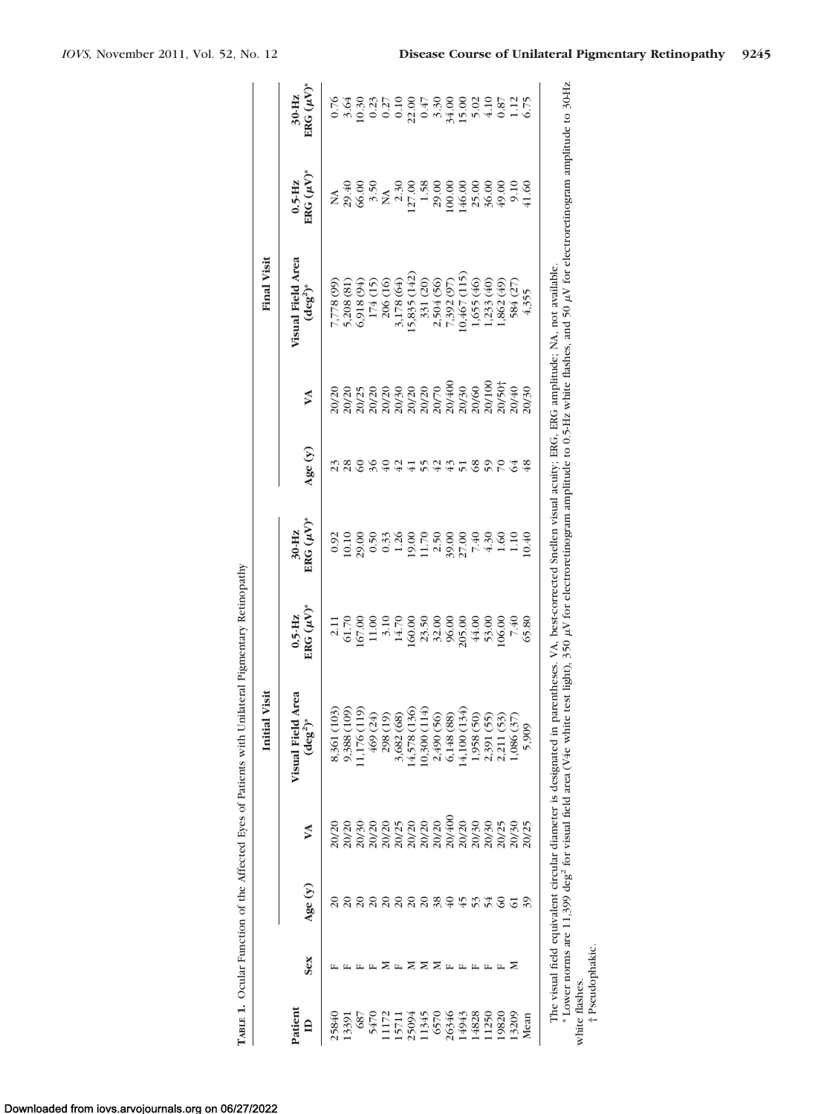|                         |     |                |       | Visit<br>Initial                                                                                                                                                                                                                                                                                                                                                           |                                                                                                                                                                                                                                                                                                     |                                          |                       |   | <b>Final Visit</b>                                                                                                            |                              |                           |
|-------------------------|-----|----------------|-------|----------------------------------------------------------------------------------------------------------------------------------------------------------------------------------------------------------------------------------------------------------------------------------------------------------------------------------------------------------------------------|-----------------------------------------------------------------------------------------------------------------------------------------------------------------------------------------------------------------------------------------------------------------------------------------------------|------------------------------------------|-----------------------|---|-------------------------------------------------------------------------------------------------------------------------------|------------------------------|---------------------------|
| Patient<br>$\mathbf{a}$ | Sex | Age $(y)$      | YA    | Area<br>$(\deg^2)^*$<br><b>Visual Field</b>                                                                                                                                                                                                                                                                                                                                | $\mathrm{BRG}~(\mu\mathrm{V})^*$<br>$0.5 - Hz$                                                                                                                                                                                                                                                      | $\text{ERG}(\mu\text{V})^*$<br>$30 - Hz$ | Age $(y)$             | M | Visual Field Area<br>$(\deg^2)^*$                                                                                             | $0.5$ -Hz<br>ERG $(\mu V)^*$ | $ERG(\mu V)^*$<br>$30-Hz$ |
| 25840                   |     |                | 20/20 |                                                                                                                                                                                                                                                                                                                                                                            |                                                                                                                                                                                                                                                                                                     |                                          |                       |   | (66) 8/2                                                                                                                      |                              |                           |
| 13391                   |     |                |       |                                                                                                                                                                                                                                                                                                                                                                            |                                                                                                                                                                                                                                                                                                     |                                          |                       |   |                                                                                                                               |                              |                           |
| $\frac{68}{ }$          |     |                |       | 8,361 (103)<br>9,388 (109)<br>11,176 (119)                                                                                                                                                                                                                                                                                                                                 |                                                                                                                                                                                                                                                                                                     |                                          |                       |   | $5,208(81)$<br>$6,918(94)$                                                                                                    |                              |                           |
| 547                     |     | $\overline{c}$ |       | 469 (24)                                                                                                                                                                                                                                                                                                                                                                   | $\begin{array}{l} 2.11 \\ 2.17 \\ 61.70 \\ 61.03 \\ 11.03 \\ 12.08 \\ 13.08 \\ 14.40 \\ 15.08 \\ 16.08 \\ 17.08 \\ 18.08 \\ 19.08 \\ 19.08 \\ 10.00 \\ 10.00 \\ 10.00 \\ 10.00 \\ 10.00 \\ 10.00 \\ 10.00 \\ 10.00 \\ 10.00 \\ 10.00 \\ 10.00 \\ 10.00 \\ 10.00 \\ 10.00 \\ 10.00 \\ 10.00 \\ 10.0$ | 8<br>82883882888843821<br>8288828288882  |                       |   |                                                                                                                               |                              |                           |
| 1172                    |     | $\overline{c}$ |       | 298 (19)                                                                                                                                                                                                                                                                                                                                                                   |                                                                                                                                                                                                                                                                                                     |                                          |                       |   | 174 (15)<br>206 (16)                                                                                                          |                              |                           |
| 15711                   |     | 20             |       | 3,682 (68)                                                                                                                                                                                                                                                                                                                                                                 |                                                                                                                                                                                                                                                                                                     |                                          |                       |   | 3,178 (64)                                                                                                                    |                              |                           |
| 25094                   |     | $\overline{c}$ |       | 14,578 (136)                                                                                                                                                                                                                                                                                                                                                               |                                                                                                                                                                                                                                                                                                     |                                          |                       |   | 5,835 (142)                                                                                                                   |                              |                           |
| 1345                    |     | 20             |       | (0,300(114)                                                                                                                                                                                                                                                                                                                                                                |                                                                                                                                                                                                                                                                                                     |                                          |                       |   |                                                                                                                               |                              |                           |
| 6570                    |     | 38             |       | 2,490 (56)                                                                                                                                                                                                                                                                                                                                                                 |                                                                                                                                                                                                                                                                                                     |                                          |                       |   |                                                                                                                               |                              |                           |
| 26346                   |     |                |       | 6,148 (88)                                                                                                                                                                                                                                                                                                                                                                 |                                                                                                                                                                                                                                                                                                     |                                          |                       |   |                                                                                                                               |                              |                           |
| 14943                   |     | 45             |       | (4,100(134))                                                                                                                                                                                                                                                                                                                                                               |                                                                                                                                                                                                                                                                                                     |                                          | 9978                  |   | $\begin{array}{c} 331 (20) \\ 2,504 (56) \\ 7,392 (97) \\ 10,467 (115) \\ 1,655 (46) \\ 1,655 (46) \\ 1,233 (40) \end{array}$ |                              |                           |
| 14828                   |     | $\tilde{5}$    |       | 1,958 (50)                                                                                                                                                                                                                                                                                                                                                                 |                                                                                                                                                                                                                                                                                                     |                                          |                       |   |                                                                                                                               |                              |                           |
| 1250                    |     | $\frac{1}{2}$  |       | 2,391 (55)                                                                                                                                                                                                                                                                                                                                                                 |                                                                                                                                                                                                                                                                                                     |                                          | $\tilde{\mathcal{S}}$ |   |                                                                                                                               |                              |                           |
| 19820                   |     | $\Im$          |       | 2,211 (53)                                                                                                                                                                                                                                                                                                                                                                 |                                                                                                                                                                                                                                                                                                     |                                          | 20                    |   | 1,862(49)                                                                                                                     |                              |                           |
| 13209                   |     | $\overline{6}$ |       | 1,086 (37                                                                                                                                                                                                                                                                                                                                                                  | 7.40<br>05.80                                                                                                                                                                                                                                                                                       |                                          |                       |   | 584 (27)                                                                                                                      |                              |                           |
| Mean                    |     |                |       | 5,909                                                                                                                                                                                                                                                                                                                                                                      |                                                                                                                                                                                                                                                                                                     | 10.40                                    | $\frac{3}{2}$         |   | 4,355                                                                                                                         |                              |                           |
|                         |     |                |       | * Lower norms are 11,399 deg <sup>2</sup> for visual field area (V4e white test light), 350 µV for electroretinogram amplitude to 0.5-Hz white flashes, and 50 µV for electroretinogram amplitude to 30-Hz<br>The visual field equivalent circular diameter is designated in parentheses. VA, best-corrected Snellen visual acuity: ERG, ERG amplitude: NA, not available. |                                                                                                                                                                                                                                                                                                     |                                          |                       |   |                                                                                                                               |                              |                           |

TABLE 1. Ocular Function of the Affected Eyes of Patients with Unilateral Pigmentary Retinopathy **TABLE 1.** Ocular Function of the Affected Eyes of Patients with Unilateral Pigmentary Retinopathy

white flashes.

† Pseudophakic.

Downloaded from iovs.arvojournals.org on 06/27/2022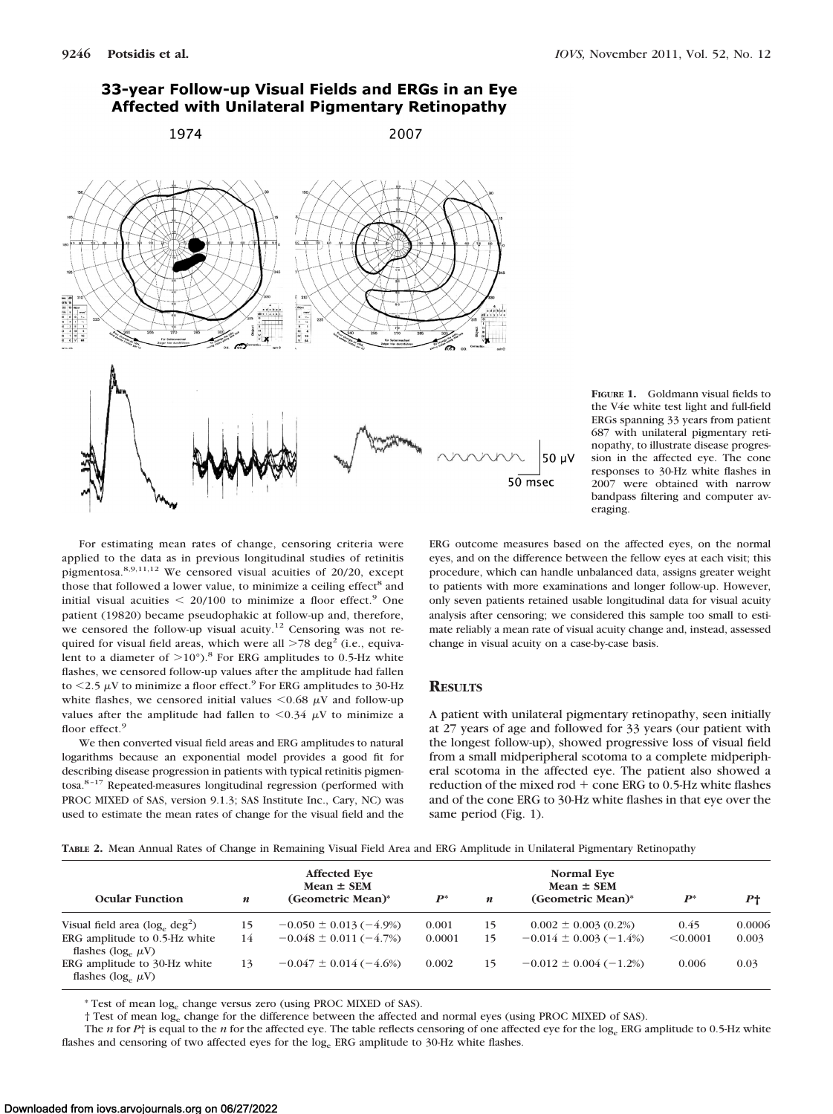



**FIGURE 1.** Goldmann visual fields to the V4e white test light and full-field ERGs spanning 33 years from patient 687 with unilateral pigmentary retinopathy, to illustrate disease progression in the affected eye. The cone responses to 30-Hz white flashes in 2007 were obtained with narrow bandpass filtering and computer averaging.

For estimating mean rates of change, censoring criteria were applied to the data as in previous longitudinal studies of retinitis pigmentosa.8,9,11,12 We censored visual acuities of 20/20, except those that followed a lower value, to minimize a ceiling effect<sup>8</sup> and initial visual acuities  $\leq$  20/100 to minimize a floor effect.<sup>9</sup> One patient (19820) became pseudophakic at follow-up and, therefore, we censored the follow-up visual acuity.<sup>12</sup> Censoring was not required for visual field areas, which were all  $>78$  deg<sup>2</sup> (i.e., equivalent to a diameter of  $>10^{\circ}$ ).<sup>8</sup> For ERG amplitudes to 0.5-Hz white flashes, we censored follow-up values after the amplitude had fallen to  $\leq$  2.5  $\mu$ V to minimize a floor effect.<sup>9</sup> For ERG amplitudes to 30-Hz white flashes, we censored initial values  $\leq 0.68 \mu$ V and follow-up values after the amplitude had fallen to  $\leq 0.34 \mu$ V to minimize a floor effect.<sup>9</sup>

We then converted visual field areas and ERG amplitudes to natural logarithms because an exponential model provides a good fit for describing disease progression in patients with typical retinitis pigmentosa.8 –17 Repeated-measures longitudinal regression (performed with PROC MIXED of SAS, version 9.1.3; SAS Institute Inc., Cary, NC) was used to estimate the mean rates of change for the visual field and the ERG outcome measures based on the affected eyes, on the normal eyes, and on the difference between the fellow eyes at each visit; this procedure, which can handle unbalanced data, assigns greater weight to patients with more examinations and longer follow-up. However, only seven patients retained usable longitudinal data for visual acuity analysis after censoring; we considered this sample too small to estimate reliably a mean rate of visual acuity change and, instead, assessed change in visual acuity on a case-by-case basis.

### **RESULTS**

A patient with unilateral pigmentary retinopathy, seen initially at 27 years of age and followed for 33 years (our patient with the longest follow-up), showed progressive loss of visual field from a small midperipheral scotoma to a complete midperipheral scotoma in the affected eye. The patient also showed a reduction of the mixed rod  $+$  cone ERG to 0.5-Hz white flashes and of the cone ERG to 30-Hz white flashes in that eye over the same period (Fig. 1).

|  | TABLE 2. Mean Annual Rates of Change in Remaining Visual Field Area and ERG Amplitude in Unilateral Pigmentary Retinopathy |  |  |  |  |  |  |  |  |  |  |
|--|----------------------------------------------------------------------------------------------------------------------------|--|--|--|--|--|--|--|--|--|--|
|--|----------------------------------------------------------------------------------------------------------------------------|--|--|--|--|--|--|--|--|--|--|

|                                                           |    | <b>Affected Eve</b><br>$Mean \pm SEM$ |        |    | <b>Normal Eve</b><br>$Mean \pm SEM$ |          |                |
|-----------------------------------------------------------|----|---------------------------------------|--------|----|-------------------------------------|----------|----------------|
| <b>Ocular Function</b>                                    | n  | (Geometric Mean)*                     | $P^*$  | n  | (Geometric Mean)*                   | $P^*$    | P <sub>1</sub> |
| Visual field area $(\log_e \deg^2)$                       | 15 | $-0.050 \pm 0.013 (-4.9\%)$           | 0.001  | 15 | $0.002 \pm 0.003$ (0.2%)            | 0.45     | 0.0006         |
| ERG amplitude to 0.5-Hz white<br>flashes $(\log_e \mu V)$ | 14 | $-0.048 \pm 0.011(-4.7%)$             | 0.0001 | 15 | $-0.014 \pm 0.003(-1.4\%)$          | < 0.0001 | 0.003          |
| ERG amplitude to 30-Hz white<br>flashes $(\log_e \mu V)$  | 13 | $-0.047 \pm 0.014 (-4.6%)$            | 0.002  | 15 | $-0.012 \pm 0.004 (-1.2\%)$         | 0.006    | 0.03           |

\* Test of mean loge change versus zero (using PROC MIXED of SAS).

† Test of mean loge change for the difference between the affected and normal eyes (using PROC MIXED of SAS).

The *n* for *P*<sup>+</sup> is equal to the *n* for the affected eye. The table reflects censoring of one affected eye for the log<sub>e</sub> ERG amplitude to 0.5-Hz white flashes and censoring of two affected eyes for the log<sub>e</sub> ERG amplitude to 30-Hz white flashes.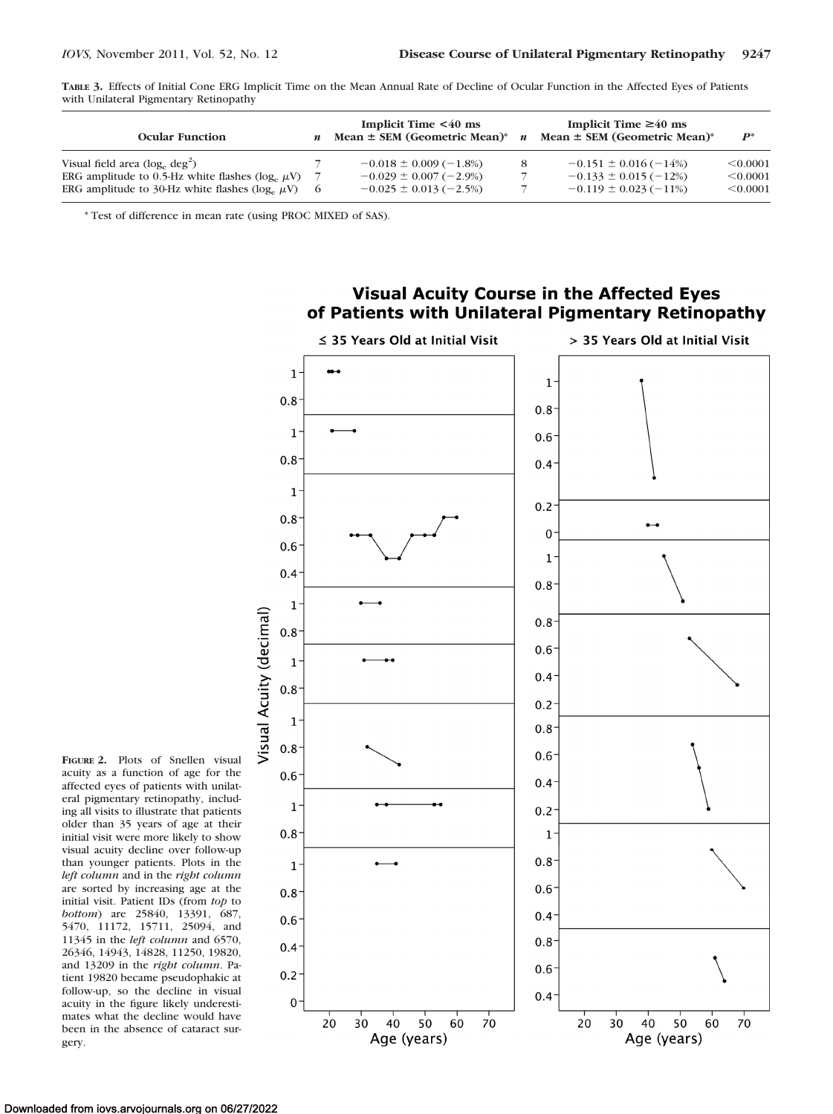**TABLE 3.** Effects of Initial Cone ERG Implicit Time on the Mean Annual Rate of Decline of Ocular Function in the Affected Eyes of Patients with Unilateral Pigmentary Retinopathy

| <b>Ocular Function</b>                                                                         | Implicit Time $\leq 40$ ms<br>Mean $\pm$ SEM (Geometric Mean)* | $\boldsymbol{n}$ | Implicit Time $\geq 40$ ms<br>Mean $\pm$ SEM (Geometric Mean) <sup>*</sup> | $P^*$                |
|------------------------------------------------------------------------------------------------|----------------------------------------------------------------|------------------|----------------------------------------------------------------------------|----------------------|
| Visual field area $(\log_e \deg^2)$<br>ERG amplitude to 0.5-Hz white flashes ( $log_e \mu V$ ) | $-0.018 \pm 0.009 (-1.8\%)$<br>$-0.029 \pm 0.007 (-2.9\%)$     |                  | $-0.151 \pm 0.016 (-14%)$<br>$-0.133 \pm 0.015 (-12\%)$                    | < 0.0001<br>< 0.0001 |
| ERG amplitude to 30-Hz white flashes ( $log_a \mu$ V)                                          | $-0.025 \pm 0.013 (-2.5\%)$                                    |                  | $-0.119 \pm 0.023 (-11\%)$                                                 | < 0.0001             |

\* Test of difference in mean rate (using PROC MIXED of SAS).



**Visual Acuity Course in the Affected Eyes** of Patients with Unilateral Pigmentary Retinopathy

**FIGURE 2.** Plots of Snellen visual acuity as a function of age for the affected eyes of patients with unilateral pigmentary retinopathy, including all visits to illustrate that patients older than 35 years of age at their initial visit were more likely to show visual acuity decline over follow-up than younger patients. Plots in the *left column* and in the *right column* are sorted by increasing age at the initial visit. Patient IDs (from *top* to *bottom*) are 25840, 13391, 687, 5470, 11172, 15711, 25094, and 11345 in the *left column* and 6570, 26346, 14943, 14828, 11250, 19820, and 13209 in the *right column*. Patient 19820 became pseudophakic at follow-up, so the decline in visual acuity in the figure likely underestimates what the decline would have been in the absence of cataract sur-

gery.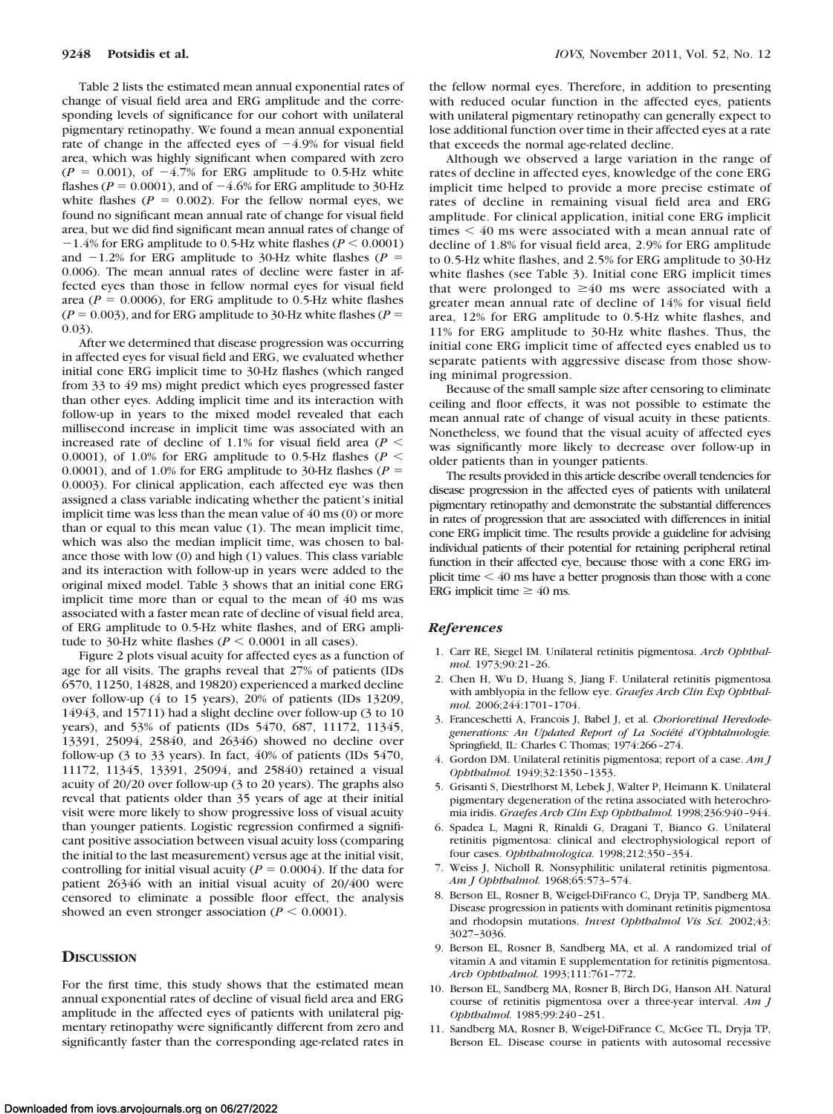Table 2 lists the estimated mean annual exponential rates of change of visual field area and ERG amplitude and the corresponding levels of significance for our cohort with unilateral pigmentary retinopathy. We found a mean annual exponential rate of change in the affected eyes of  $-4.9\%$  for visual field area, which was highly significant when compared with zero  $(P = 0.001)$ , of  $-4.7\%$  for ERG amplitude to 0.5-Hz white flashes ( $P = 0.0001$ ), and of  $-4.6\%$  for ERG amplitude to 30-Hz white flashes ( $P = 0.002$ ). For the fellow normal eyes, we found no significant mean annual rate of change for visual field area, but we did find significant mean annual rates of change of  $-1.4\%$  for ERG amplitude to 0.5-Hz white flashes ( $P \le 0.0001$ ) and  $-1.2\%$  for ERG amplitude to 30-Hz white flashes ( $P =$ 0.006). The mean annual rates of decline were faster in affected eyes than those in fellow normal eyes for visual field area ( $P = 0.0006$ ), for ERG amplitude to 0.5-Hz white flashes  $(P = 0.003)$ , and for ERG amplitude to 30-Hz white flashes  $(P = 0.003)$ 0.03).

After we determined that disease progression was occurring in affected eyes for visual field and ERG, we evaluated whether initial cone ERG implicit time to 30-Hz flashes (which ranged from 33 to 49 ms) might predict which eyes progressed faster than other eyes. Adding implicit time and its interaction with follow-up in years to the mixed model revealed that each millisecond increase in implicit time was associated with an increased rate of decline of 1.1% for visual field area (*P* 0.0001), of 1.0% for ERG amplitude to 0.5-Hz flashes ( $P <$ 0.0001), and of 1.0% for ERG amplitude to 30-Hz flashes ( $P =$ 0.0003). For clinical application, each affected eye was then assigned a class variable indicating whether the patient's initial implicit time was less than the mean value of 40 ms (0) or more than or equal to this mean value (1). The mean implicit time, which was also the median implicit time, was chosen to balance those with low (0) and high (1) values. This class variable and its interaction with follow-up in years were added to the original mixed model. Table 3 shows that an initial cone ERG implicit time more than or equal to the mean of 40 ms was associated with a faster mean rate of decline of visual field area, of ERG amplitude to 0.5-Hz white flashes, and of ERG amplitude to 30-Hz white flashes ( $P \le 0.0001$  in all cases).

Figure 2 plots visual acuity for affected eyes as a function of age for all visits. The graphs reveal that 27% of patients (IDs 6570, 11250, 14828, and 19820) experienced a marked decline over follow-up (4 to 15 years), 20% of patients (IDs 13209, 14943, and 15711) had a slight decline over follow-up (3 to 10 years), and 53% of patients (IDs 5470, 687, 11172, 11345, 13391, 25094, 25840, and 26346) showed no decline over follow-up (3 to 33 years). In fact, 40% of patients (IDs 5470, 11172, 11345, 13391, 25094, and 25840) retained a visual acuity of 20/20 over follow-up (3 to 20 years). The graphs also reveal that patients older than 35 years of age at their initial visit were more likely to show progressive loss of visual acuity than younger patients. Logistic regression confirmed a significant positive association between visual acuity loss (comparing the initial to the last measurement) versus age at the initial visit, controlling for initial visual acuity ( $P = 0.0004$ ). If the data for patient 26346 with an initial visual acuity of 20/400 were censored to eliminate a possible floor effect, the analysis showed an even stronger association ( $P \leq 0.0001$ ).

#### **DISCUSSION**

For the first time, this study shows that the estimated mean annual exponential rates of decline of visual field area and ERG amplitude in the affected eyes of patients with unilateral pigmentary retinopathy were significantly different from zero and significantly faster than the corresponding age-related rates in the fellow normal eyes. Therefore, in addition to presenting with reduced ocular function in the affected eyes, patients with unilateral pigmentary retinopathy can generally expect to lose additional function over time in their affected eyes at a rate that exceeds the normal age-related decline.

Although we observed a large variation in the range of rates of decline in affected eyes, knowledge of the cone ERG implicit time helped to provide a more precise estimate of rates of decline in remaining visual field area and ERG amplitude. For clinical application, initial cone ERG implicit times  $\leq 40$  ms were associated with a mean annual rate of decline of 1.8% for visual field area, 2.9% for ERG amplitude to 0.5-Hz white flashes, and 2.5% for ERG amplitude to 30-Hz white flashes (see Table 3). Initial cone ERG implicit times that were prolonged to  $\geq 40$  ms were associated with a greater mean annual rate of decline of 14% for visual field area, 12% for ERG amplitude to 0.5-Hz white flashes, and 11% for ERG amplitude to 30-Hz white flashes. Thus, the initial cone ERG implicit time of affected eyes enabled us to separate patients with aggressive disease from those showing minimal progression.

Because of the small sample size after censoring to eliminate ceiling and floor effects, it was not possible to estimate the mean annual rate of change of visual acuity in these patients. Nonetheless, we found that the visual acuity of affected eyes was significantly more likely to decrease over follow-up in older patients than in younger patients.

The results provided in this article describe overall tendencies for disease progression in the affected eyes of patients with unilateral pigmentary retinopathy and demonstrate the substantial differences in rates of progression that are associated with differences in initial cone ERG implicit time. The results provide a guideline for advising individual patients of their potential for retaining peripheral retinal function in their affected eye, because those with a cone ERG implicit time  $<$  40 ms have a better prognosis than those with a cone ERG implicit time  $\geq 40$  ms.

#### *References*

- 1. Carr RE, Siegel IM. Unilateral retinitis pigmentosa. *Arch Ophthalmol.* 1973;90:21–26.
- 2. Chen H, Wu D, Huang S, Jiang F. Unilateral retinitis pigmentosa with amblyopia in the fellow eye. *Graefes Arch Clin Exp Ophthalmol.* 2006;244:1701–1704.
- 3. Franceschetti A, Francois J, Babel J, et al. *Chorioretinal Heredode*generations: An Updated Report of La Société d'Ophtalmologie. Springfield, IL: Charles C Thomas; 1974:266 –274.
- 4. Gordon DM. Unilateral retinitis pigmentosa; report of a case. *Am J Ophthalmol.* 1949;32:1350 –1353.
- 5. Grisanti S, Diestrlhorst M, Lebek J, Walter P, Heimann K. Unilateral pigmentary degeneration of the retina associated with heterochromia iridis. *Graefes Arch Clin Exp Ophthalmol.* 1998;236:940 –944.
- 6. Spadea L, Magni R, Rinaldi G, Dragani T, Bianco G. Unilateral retinitis pigmentosa: clinical and electrophysiological report of four cases. *Ophthalmologica.* 1998;212:350 –354.
- 7. Weiss J, Nicholl R. Nonsyphilitic unilateral retinitis pigmentosa. *Am J Ophthalmol.* 1968;65:573–574.
- 8. Berson EL, Rosner B, Weigel-DiFranco C, Dryja TP, Sandberg MA. Disease progression in patients with dominant retinitis pigmentosa and rhodopsin mutations. *Invest Ophthalmol Vis Sci.* 2002;43: 3027–3036.
- 9. Berson EL, Rosner B, Sandberg MA, et al. A randomized trial of vitamin A and vitamin E supplementation for retinitis pigmentosa. *Arch Ophthalmol.* 1993;111:761–772.
- 10. Berson EL, Sandberg MA, Rosner B, Birch DG, Hanson AH. Natural course of retinitis pigmentosa over a three-year interval. *Am J Ophthalmol.* 1985;99:240 –251.
- 11. Sandberg MA, Rosner B, Weigel-DiFrance C, McGee TL, Dryja TP, Berson EL. Disease course in patients with autosomal recessive